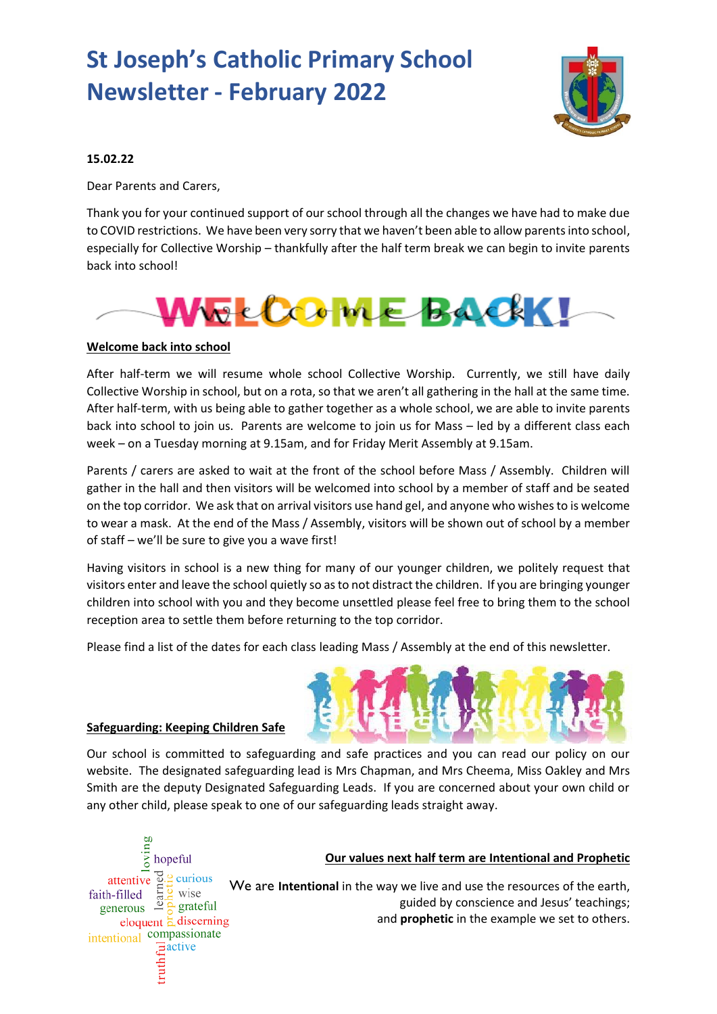# **St Joseph's Catholic Primary School Newsletter - February 2022**



# **15.02.22**

Dear Parents and Carers,

Thank you for your continued support of our school through all the changes we have had to make due to COVID restrictions. We have been very sorry that we haven't been able to allow parents into school, especially for Collective Worship – thankfully after the half term break we can begin to invite parents back into school!



# **Welcome back into school**

After half-term we will resume whole school Collective Worship. Currently, we still have daily Collective Worship in school, but on a rota, so that we aren't all gathering in the hall at the same time. After half-term, with us being able to gather together as a whole school, we are able to invite parents back into school to join us. Parents are welcome to join us for Mass – led by a different class each week – on a Tuesday morning at 9.15am, and for Friday Merit Assembly at 9.15am.

Parents / carers are asked to wait at the front of the school before Mass / Assembly. Children will gather in the hall and then visitors will be welcomed into school by a member of staff and be seated on the top corridor. We ask that on arrival visitors use hand gel, and anyone who wishes to is welcome to wear a mask. At the end of the Mass / Assembly, visitors will be shown out of school by a member of staff – we'll be sure to give you a wave first!

Having visitors in school is a new thing for many of our younger children, we politely request that visitors enter and leave the school quietly so as to not distract the children. If you are bringing younger children into school with you and they become unsettled please feel free to bring them to the school reception area to settle them before returning to the top corridor.

Please find a list of the dates for each class leading Mass / Assembly at the end of this newsletter.



## **Safeguarding: Keeping Children Safe**

Our school is committed to safeguarding and safe practices and you can read our policy on our website. The designated safeguarding lead is Mrs Chapman, and Mrs Cheema, Miss Oakley and Mrs Smith are the deputy Designated Safeguarding Leads. If you are concerned about your own child or any other child, please speak to one of our safeguarding leads straight away.



#### **Our values next half term are Intentional and Prophetic**

We are **Intentional** in the way we live and use the resources of the earth, guided by conscience and Jesus' teachings; and **prophetic** in the example we set to others.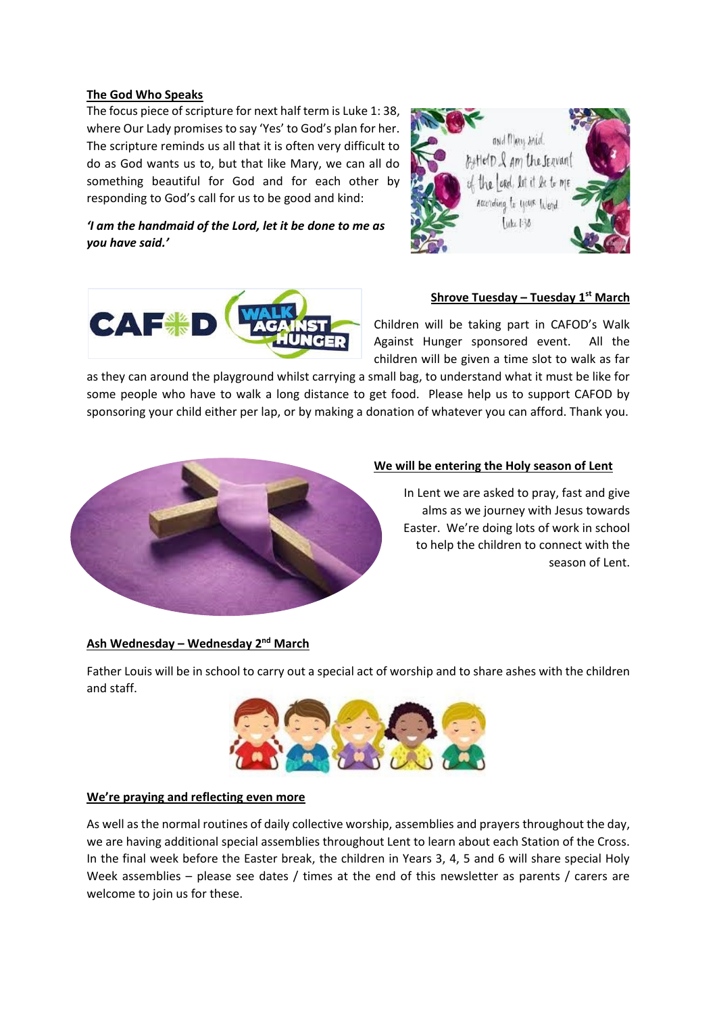## **The God Who Speaks**

The focus piece of scripture for next half term is Luke 1: 38, where Our Lady promises to say 'Yes' to God's plan for her. The scripture reminds us all that it is often very difficult to do as God wants us to, but that like Mary, we can all do something beautiful for God and for each other by responding to God's call for us to be good and kind:

*'I am the handmaid of the Lord, let it be done to me as you have said.'*





## **Shrove Tuesday – Tuesday 1st March**

Children will be taking part in CAFOD's Walk Against Hunger sponsored event. All the children will be given a time slot to walk as far

as they can around the playground whilst carrying a small bag, to understand what it must be like for some people who have to walk a long distance to get food. Please help us to support CAFOD by sponsoring your child either per lap, or by making a donation of whatever you can afford. Thank you.



## **We will be entering the Holy season of Lent**

In Lent we are asked to pray, fast and give alms as we journey with Jesus towards Easter. We're doing lots of work in school to help the children to connect with the season of Lent.

## **Ash Wednesday – Wednesday 2nd March**

Father Louis will be in school to carry out a special act of worship and to share ashes with the children and staff.



## **We're praying and reflecting even more**

As well as the normal routines of daily collective worship, assemblies and prayers throughout the day, we are having additional special assemblies throughout Lent to learn about each Station of the Cross. In the final week before the Easter break, the children in Years 3, 4, 5 and 6 will share special Holy Week assemblies – please see dates / times at the end of this newsletter as parents / carers are welcome to join us for these.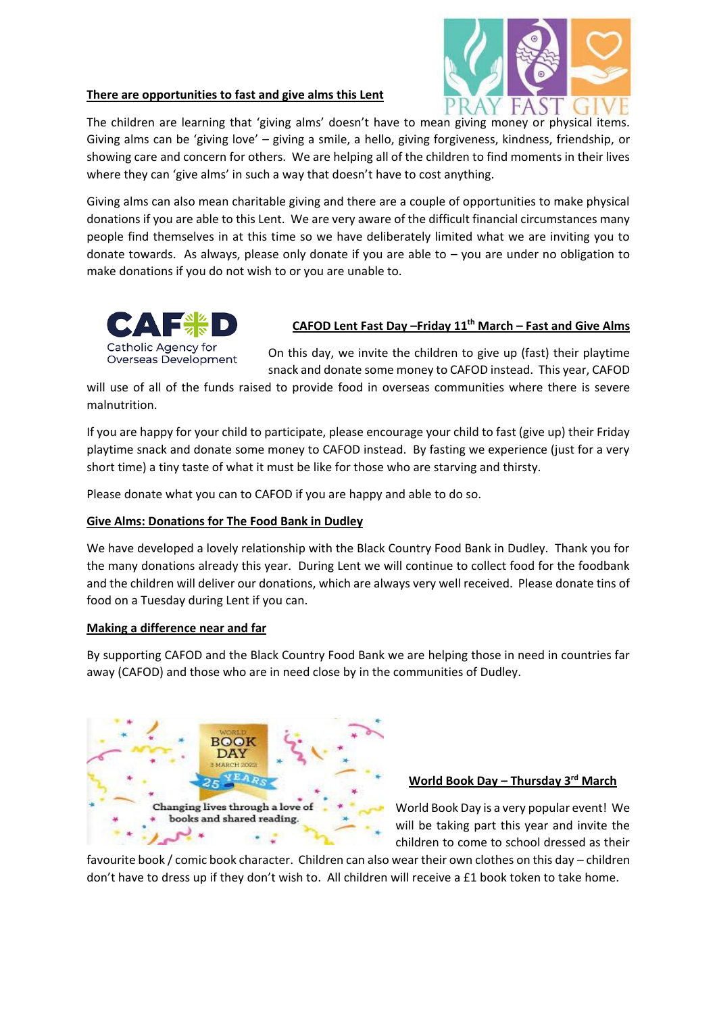# **There are opportunities to fast and give alms this Lent**



The children are learning that 'giving alms' doesn't have to mean giving money or physical items. Giving alms can be 'giving love' – giving a smile, a hello, giving forgiveness, kindness, friendship, or showing care and concern for others. We are helping all of the children to find moments in their lives where they can 'give alms' in such a way that doesn't have to cost anything.

Giving alms can also mean charitable giving and there are a couple of opportunities to make physical donations if you are able to this Lent. We are very aware of the difficult financial circumstances many people find themselves in at this time so we have deliberately limited what we are inviting you to donate towards. As always, please only donate if you are able to  $-$  you are under no obligation to make donations if you do not wish to or you are unable to.



# **CAFOD Lent Fast Day –Friday 11th March – Fast and Give Alms**

On this day, we invite the children to give up (fast) their playtime snack and donate some money to CAFOD instead. This year, CAFOD

will use of all of the funds raised to provide food in overseas communities where there is severe malnutrition.

If you are happy for your child to participate, please encourage your child to fast (give up) their Friday playtime snack and donate some money to CAFOD instead. By fasting we experience (just for a very short time) a tiny taste of what it must be like for those who are starving and thirsty.

Please donate what you can to CAFOD if you are happy and able to do so.

## **Give Alms: Donations for The Food Bank in Dudley**

We have developed a lovely relationship with the Black Country Food Bank in Dudley. Thank you for the many donations already this year. During Lent we will continue to collect food for the foodbank and the children will deliver our donations, which are always very well received. Please donate tins of food on a Tuesday during Lent if you can.

## **Making a difference near and far**

By supporting CAFOD and the Black Country Food Bank we are helping those in need in countries far away (CAFOD) and those who are in need close by in the communities of Dudley.



## **World Book Day – Thursday 3rd March**

World Book Day is a very popular event! We will be taking part this year and invite the children to come to school dressed as their

favourite book / comic book character. Children can also wear their own clothes on this day – children don't have to dress up if they don't wish to. All children will receive a £1 book token to take home.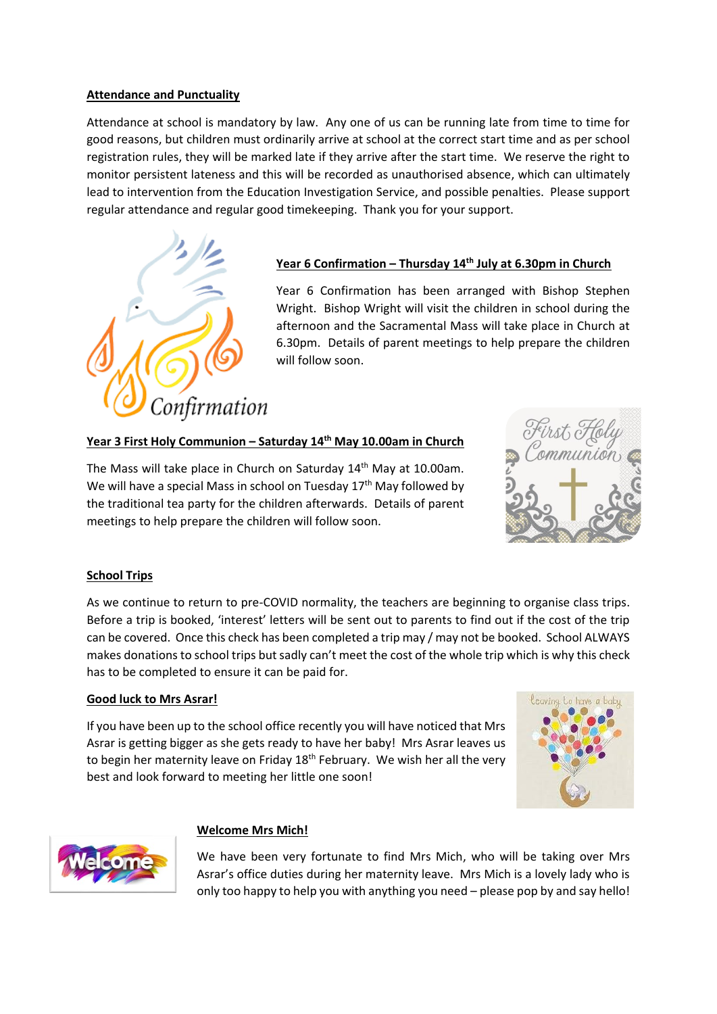# **Attendance and Punctuality**

Attendance at school is mandatory by law. Any one of us can be running late from time to time for good reasons, but children must ordinarily arrive at school at the correct start time and as per school registration rules, they will be marked late if they arrive after the start time. We reserve the right to monitor persistent lateness and this will be recorded as unauthorised absence, which can ultimately lead to intervention from the Education Investigation Service, and possible penalties. Please support regular attendance and regular good timekeeping. Thank you for your support.



# **Year 6 Confirmation – Thursday 14th July at 6.30pm in Church**

Year 6 Confirmation has been arranged with Bishop Stephen Wright. Bishop Wright will visit the children in school during the afternoon and the Sacramental Mass will take place in Church at 6.30pm. Details of parent meetings to help prepare the children will follow soon.

# **Year 3 First Holy Communion – Saturday 14th May 10.00am in Church**

The Mass will take place in Church on Saturday 14<sup>th</sup> May at 10.00am. We will have a special Mass in school on Tuesday  $17<sup>th</sup>$  May followed by the traditional tea party for the children afterwards. Details of parent meetings to help prepare the children will follow soon.



## **School Trips**

As we continue to return to pre-COVID normality, the teachers are beginning to organise class trips. Before a trip is booked, 'interest' letters will be sent out to parents to find out if the cost of the trip can be covered. Once this check has been completed a trip may / may not be booked. School ALWAYS makes donations to school trips but sadly can't meet the cost of the whole trip which is why this check has to be completed to ensure it can be paid for.

#### **Good luck to Mrs Asrar!**

If you have been up to the school office recently you will have noticed that Mrs Asrar is getting bigger as she gets ready to have her baby! Mrs Asrar leaves us to begin her maternity leave on Friday 18<sup>th</sup> February. We wish her all the very best and look forward to meeting her little one soon!





## **Welcome Mrs Mich!**

We have been very fortunate to find Mrs Mich, who will be taking over Mrs Asrar's office duties during her maternity leave. Mrs Mich is a lovely lady who is only too happy to help you with anything you need – please pop by and say hello!